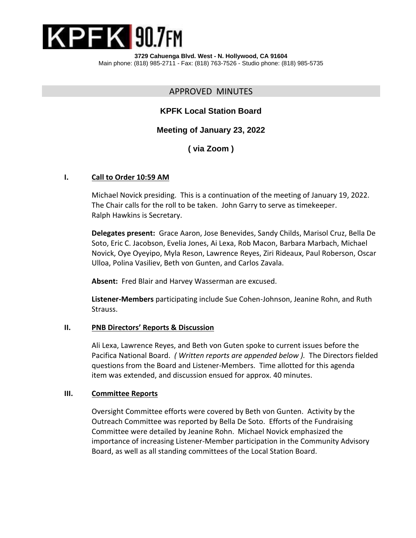

**3729 Cahuenga Blvd. West - N. Hollywood, CA 91604** Main phone: (818) 985-2711 - Fax: (818) 763-7526 - Studio phone: (818) 985-5735

APPROVED MINUTES

## **KPFK Local Station Board**

**Meeting of January 23, 2022**

**( via Zoom )**

#### **I. Call to Order 10:59 AM**

Michael Novick presiding. This is a continuation of the meeting of January 19, 2022. The Chair calls for the roll to be taken. John Garry to serve as timekeeper. Ralph Hawkins is Secretary.

**Delegates present:** Grace Aaron, Jose Benevides, Sandy Childs, Marisol Cruz, Bella De Soto, Eric C. Jacobson, Evelia Jones, Ai Lexa, Rob Macon, Barbara Marbach, Michael Novick, Oye Oyeyipo, Myla Reson, Lawrence Reyes, Ziri Rideaux, Paul Roberson, Oscar Ulloa, Polina Vasiliev, Beth von Gunten, and Carlos Zavala.

**Absent:** Fred Blair and Harvey Wasserman are excused.

**Listener-Members** participating include Sue Cohen-Johnson, Jeanine Rohn, and Ruth Strauss.

#### **II. PNB Directors' Reports & Discussion**

Ali Lexa, Lawrence Reyes, and Beth von Guten spoke to current issues before the Pacifica National Board. *( Written reports are appended below ).* The Directors fielded questions from the Board and Listener-Members. Time allotted for this agenda item was extended, and discussion ensued for approx. 40 minutes.

#### **III. Committee Reports**

Oversight Committee efforts were covered by Beth von Gunten. Activity by the Outreach Committee was reported by Bella De Soto. Efforts of the Fundraising Committee were detailed by Jeanine Rohn. Michael Novick emphasized the importance of increasing Listener-Member participation in the Community Advisory Board, as well as all standing committees of the Local Station Board.